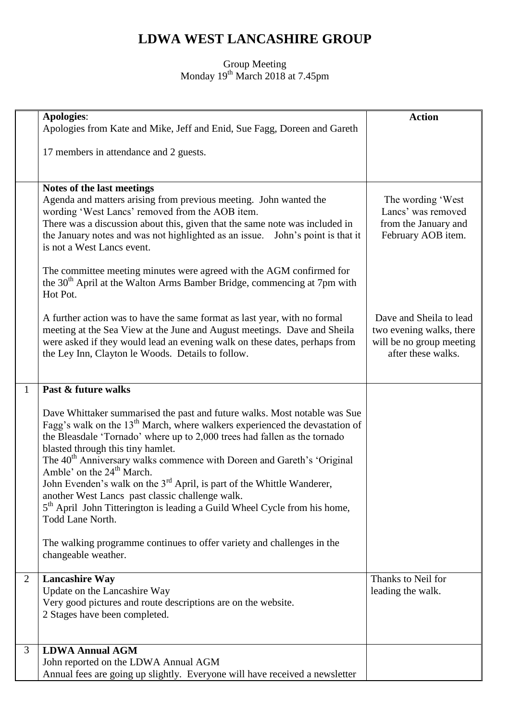## **LDWA WEST LANCASHIRE GROUP**

## Group Meeting Monday 19<sup>th</sup> March 2018 at 7.45pm

|   | <b>Apologies:</b>                                                                                                                                                | <b>Action</b>                              |
|---|------------------------------------------------------------------------------------------------------------------------------------------------------------------|--------------------------------------------|
|   | Apologies from Kate and Mike, Jeff and Enid, Sue Fagg, Doreen and Gareth                                                                                         |                                            |
|   | 17 members in attendance and 2 guests.                                                                                                                           |                                            |
|   |                                                                                                                                                                  |                                            |
|   | Notes of the last meetings                                                                                                                                       |                                            |
|   | Agenda and matters arising from previous meeting. John wanted the                                                                                                | The wording 'West                          |
|   | wording 'West Lancs' removed from the AOB item.                                                                                                                  | Lancs' was removed                         |
|   | There was a discussion about this, given that the same note was included in<br>the January notes and was not highlighted as an issue.<br>John's point is that it | from the January and<br>February AOB item. |
|   | is not a West Lancs event.                                                                                                                                       |                                            |
|   | The committee meeting minutes were agreed with the AGM confirmed for                                                                                             |                                            |
|   | the 30 <sup>th</sup> April at the Walton Arms Bamber Bridge, commencing at 7pm with                                                                              |                                            |
|   | Hot Pot.                                                                                                                                                         |                                            |
|   | A further action was to have the same format as last year, with no formal                                                                                        | Dave and Sheila to lead                    |
|   | meeting at the Sea View at the June and August meetings. Dave and Sheila                                                                                         | two evening walks, there                   |
|   | were asked if they would lead an evening walk on these dates, perhaps from                                                                                       | will be no group meeting                   |
|   | the Ley Inn, Clayton le Woods. Details to follow.                                                                                                                | after these walks.                         |
|   |                                                                                                                                                                  |                                            |
| 1 | Past & future walks                                                                                                                                              |                                            |
|   | Dave Whittaker summarised the past and future walks. Most notable was Sue                                                                                        |                                            |
|   | Fagg's walk on the $13th$ March, where walkers experienced the devastation of                                                                                    |                                            |
|   | the Bleasdale 'Tornado' where up to 2,000 trees had fallen as the tornado                                                                                        |                                            |
|   | blasted through this tiny hamlet.<br>The 40 <sup>th</sup> Anniversary walks commence with Doreen and Gareth's 'Original                                          |                                            |
|   | Amble' on the 24 <sup>th</sup> March.                                                                                                                            |                                            |
|   | John Evenden's walk on the $3rd$ April, is part of the Whittle Wanderer,                                                                                         |                                            |
|   | another West Lancs past classic challenge walk.<br>5 <sup>th</sup> April John Titterington is leading a Guild Wheel Cycle from his home,                         |                                            |
|   | Todd Lane North.                                                                                                                                                 |                                            |
|   |                                                                                                                                                                  |                                            |
|   | The walking programme continues to offer variety and challenges in the<br>changeable weather.                                                                    |                                            |
|   |                                                                                                                                                                  |                                            |
| 2 | <b>Lancashire Way</b>                                                                                                                                            | Thanks to Neil for                         |
|   | Update on the Lancashire Way<br>Very good pictures and route descriptions are on the website.                                                                    | leading the walk.                          |
|   | 2 Stages have been completed.                                                                                                                                    |                                            |
|   |                                                                                                                                                                  |                                            |
| 3 | <b>LDWA Annual AGM</b>                                                                                                                                           |                                            |
|   | John reported on the LDWA Annual AGM                                                                                                                             |                                            |
|   | Annual fees are going up slightly. Everyone will have received a newsletter                                                                                      |                                            |